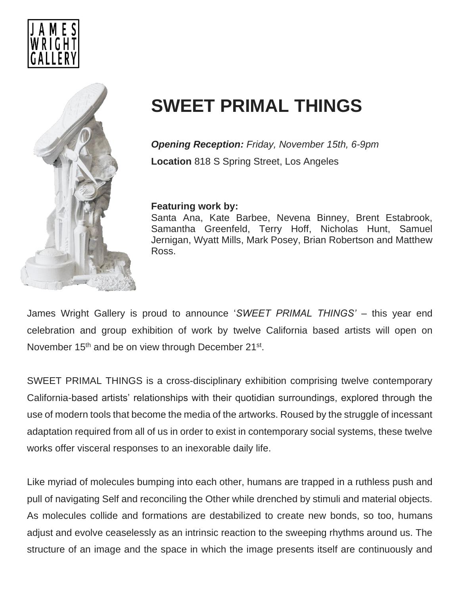



## **SWEET PRIMAL THINGS**

*Opening Reception: Friday, November 15th, 6-9pm* **Location** 818 S Spring Street, Los Angeles

## **Featuring work by:**

Santa Ana, Kate Barbee, Nevena Binney, Brent Estabrook, Samantha Greenfeld, Terry Hoff, Nicholas Hunt, Samuel Jernigan, Wyatt Mills, Mark Posey, Brian Robertson and Matthew Ross.

James Wright Gallery is proud to announce '*SWEET PRIMAL THINGS'* – this year end celebration and group exhibition of work by twelve California based artists will open on November 15<sup>th</sup> and be on view through December 21<sup>st</sup>.

SWEET PRIMAL THINGS is a cross-disciplinary exhibition comprising twelve contemporary California-based artists' relationships with their quotidian surroundings, explored through the use of modern tools that become the media of the artworks. Roused by the struggle of incessant adaptation required from all of us in order to exist in contemporary social systems, these twelve works offer visceral responses to an inexorable daily life.

Like myriad of molecules bumping into each other, humans are trapped in a ruthless push and pull of navigating Self and reconciling the Other while drenched by stimuli and material objects. As molecules collide and formations are destabilized to create new bonds, so too, humans adjust and evolve ceaselessly as an intrinsic reaction to the sweeping rhythms around us. The structure of an image and the space in which the image presents itself are continuously and